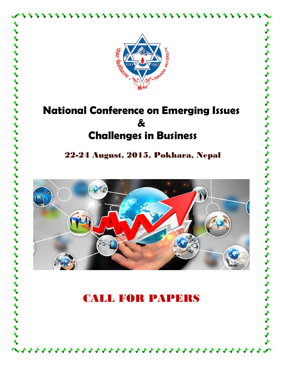

ナナナナナナナ

 $\frac{1}{2}$ 

 $\blacklozenge$ 

くうしょうしょうしょうしょうしょう

 $\frac{1}{2}$ 

 $\begin{array}{c}\n\blacklozenge \\
\blacklozenge\n\end{array}$ 

 $\frac{1}{2}$ 

 $\overrightarrow{\mathbf{r}}$ 

 $\blacklozenge$ 

 $\leftrightarrow$ 

# **National Conference on Emerging Issues & Challenges in Business**

22-24 August, 2015, Pokhara, Nepal

とととうとうとうとうとうとうとうかい いんじょう じょうじょう きょうじゅつ じゅうじょう



# CALL FOR PAPERS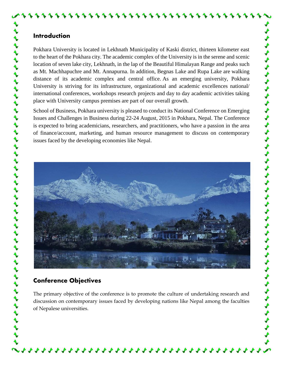Pokhara University is located in Lekhnath Municipality of Kaski district, thirteen kilometer east to the heart of the Pokhara city. The academic complex of the University is in the serene and scenic location of seven lake city, Lekhnath, in the lap of the Beautiful Himalayan Range and peaks such as Mt. Machhapuchre and Mt. Annapurna. In addition, Begnas Lake and Rupa Lake are walking distance of its academic complex and central office. As an emerging university, Pokhara University is striving for its infrastructure, organizational and academic excellences national/ international conferences, workshops research projects and day to day academic activities taking place with University campus premises are part of our overall growth.

School of Business, Pokhara university is pleased to conduct its National Conference on Emerging Issues and Challenges in Business during 22-24 August, 2015 in Pokhara, Nepal. The Conference is expected to bring academicians, researchers, and practitioners, who have a passion in the area of finance/account, marketing, and human resource management to discuss on contemporary issues faced by the developing economies like Nepal.

しょうしょう ちょうしょうしょうしょうしょうしょうしょう

 $\blacklozenge$ 

くうくうふうしょう



# **Conference Objectives**

The primary objective of the conference is to promote the culture of undertaking research and discussion on contemporary issues faced by developing nations like Nepal among the faculties of Nepalese universities.

44444444444444444444444444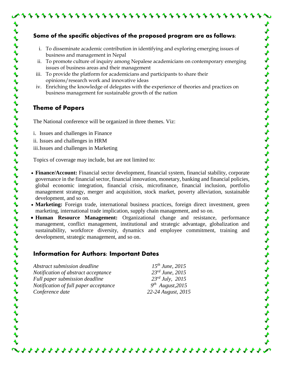#### **Some of the specific objectives of the proposed program are as follows:**

- i. To disseminate academic contribution in identifying and exploring emerging issues of business and management in Nepal
- ii. To promote culture of inquiry among Nepalese academicians on contemporary emerging issues of business areas and their management
- iii. To provide the platform for academicians and participants to share their opinions/research work and innovative ideas
- iv. Enriching the knowledge of delegates with the experience of theories and practices on business management for sustainable growth of the nation

#### **Theme of Papers**

ととうとうとうとうとうとう きょうきゅう きょうじょう きょう きょう きょう きょう きゃく

The National conference will be organized in three themes. Viz:

- i. Issues and challenges in Finance
- ii. Issues and challenges in HRM
- iii.Issues and challenges in Marketing

Topics of coverage may include, but are not limited to:

- **Finance/Account:** Financial sector development, financial system, financial stability, corporate governance in the financial sector, financial innovation, monetary, banking and financial policies, global economic integration, financial crisis, microfinance, financial inclusion, portfolio management strategy, merger and acquisition, stock market, poverty alleviation, sustainable development, and so on.
- **Marketing:** Foreign trade, international business practices, foreign direct investment, green marketing, international trade implication, supply chain management, and so on.
- **Human Resource Management:** Organizational change and resistance, performance management, conflict management, institutional and strategic advantage, globalization and sustainability, workforce diversity, dynamics and employee commitment, training and development, strategic management, and so on.

444444444444444444444444444

# **Information for Authors: Important Dates**

*Abstract submission deadline 15 Notification of abstract acceptance 23rd June, 2015 Full paper submission deadline 23rd July, 2015 Notification of full paper acceptance Conference date 22-24 August, 2015*

*th June, 2015 th August,2015*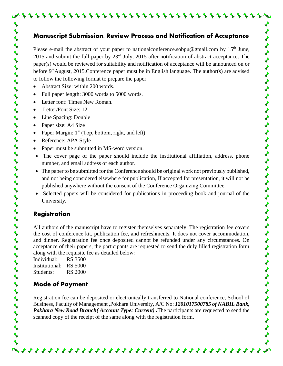#### **Manuscript Submission, Review Process and Notification of Acceptance**

Please e-mail the abstract of your paper to nationalconference.sobpu@gmail.com by  $15<sup>th</sup>$  June, 2015 and submit the full paper by 23rd July, 2015 after notification of abstract acceptance. The paper(s) would be reviewed for suitability and notification of acceptance will be announced on or before 9<sup>th</sup>August, 2015.Conference paper must be in English language. The author(s) are advised to follow the following format to prepare the paper:

- Abstract Size: within 200 words.
- Full paper length: 3000 words to 5000 words.
- Letter font: Times New Roman.
- Letter/Font Size: 12
- Line Spacing: Double
- Paper size: A4 Size
- Paper Margin: 1" (Top, bottom, right, and left)
- Reference: APA Style
- Paper must be submitted in MS-word version.
- The cover page of the paper should include the institutional affiliation, address, phone number, and email address of each author.
- The paper to be submitted for the Conference should be original work not previously published, and not being considered elsewhere for publication, If accepted for presentation, it will not be published anywhere without the consent of the Conference Organizing Committee.
- Selected papers will be considered for publications in proceeding book and journal of the University.

## **Registration**

とうとうとうとう きょういん きょうかい きょうきょう きょう きょう きゅう きょう きゃくきょう

All authors of the manuscript have to register themselves separately. The registration fee covers the cost of conference kit, publication fee, and refreshments. It does not cover accommodation, and dinner. Registration fee once deposited cannot be refunded under any circumstances. On acceptance of their papers, the participants are requested to send the duly filled registration form along with the requisite fee as detailed below:

Individual: RS.3500 Institutional: RS.5000 Students: RS.2000

## **Mode of Payment**

Registration fee can be deposited or electronically transferred to National conference, School of Business, Faculty of Management ,Pokhara University**,** A/C No: *1201017500785 of NABIL Bank, Pokhara New Road Branch( Account Type: Current)*. The participants are requested to send the scanned copy of the receipt of the same along with the registration form.

44444444444444444444444444444